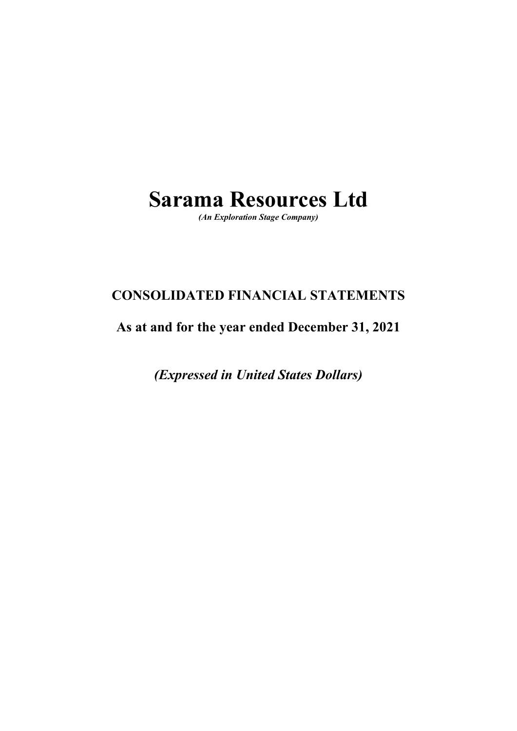# **Sarama Resources Ltd**

*(An Exploration Stage Company)*

# **CONSOLIDATED FINANCIAL STATEMENTS**

**As at and for the year ended December 31, 2021**

*(Expressed in United States Dollars)*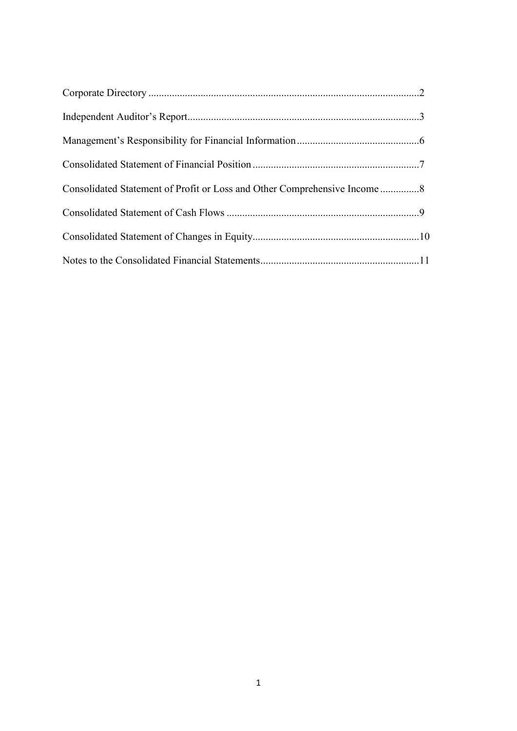| Consolidated Statement of Profit or Loss and Other Comprehensive Income 8 |  |
|---------------------------------------------------------------------------|--|
|                                                                           |  |
|                                                                           |  |
|                                                                           |  |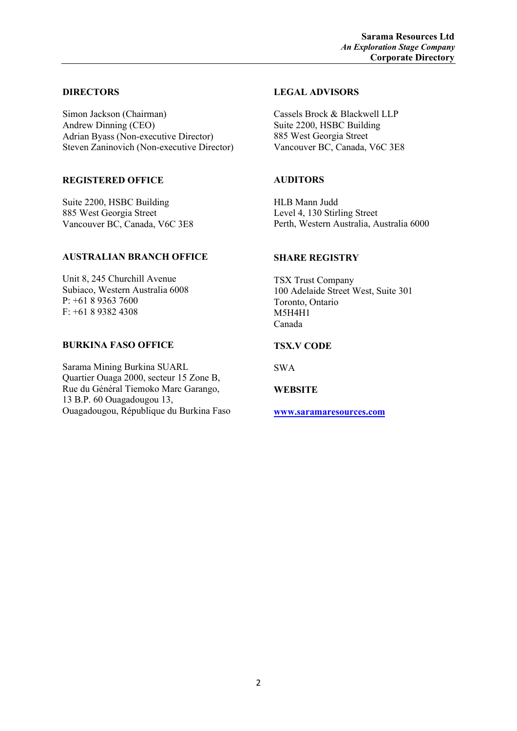## **DIRECTORS**

Simon Jackson (Chairman) Andrew Dinning (CEO) Adrian Byass (Non-executive Director) Steven Zaninovich (Non-executive Director)

## **REGISTERED OFFICE**

Suite 2200, HSBC Building 885 West Georgia Street Vancouver BC, Canada, V6C 3E8

## **AUSTRALIAN BRANCH OFFICE**

Unit 8, 245 Churchill Avenue Subiaco, Western Australia 6008 P: +61 8 9363 7600 F: +61 8 9382 4308

## **BURKINA FASO OFFICE**

Sarama Mining Burkina SUARL Quartier Ouaga 2000, secteur 15 Zone B, Rue du Général Tiemoko Marc Garango, 13 B.P. 60 Ouagadougou 13, Ouagadougou, République du Burkina Faso

## **LEGAL ADVISORS**

Cassels Brock & Blackwell LLP Suite 2200, HSBC Building 885 West Georgia Street Vancouver BC, Canada, V6C 3E8

## **AUDITORS**

HLB Mann Judd Level 4, 130 Stirling Street Perth, Western Australia, Australia 6000

## **SHARE REGISTRY**

TSX Trust Company 100 Adelaide Street West, Suite 301 Toronto, Ontario M5H4H1 Canada

## **TSX.V CODE**

SWA

## **WEBSITE**

**[www.saramaresources.com](http://www.saramaresources.com/)**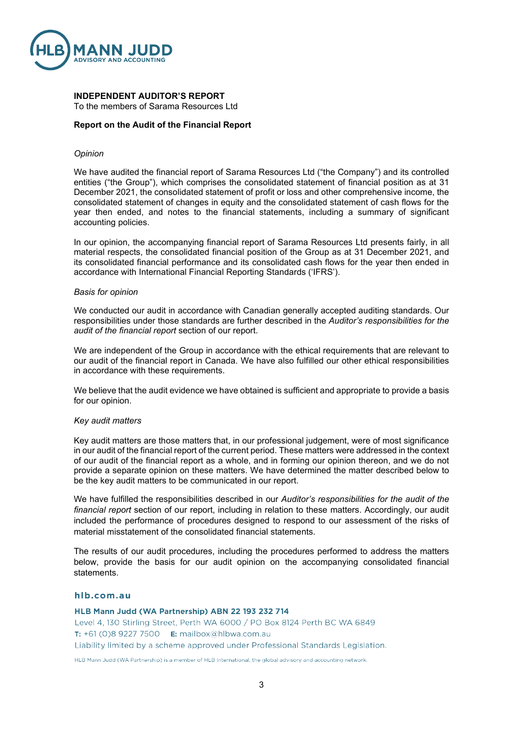

#### **INDEPENDENT AUDITOR'S REPORT** To the members of Sarama Resources Ltd

#### **Report on the Audit of the Financial Report**

#### *Opinion*

We have audited the financial report of Sarama Resources Ltd ("the Company") and its controlled entities ("the Group"), which comprises the consolidated statement of financial position as at 31 December 2021, the consolidated statement of profit or loss and other comprehensive income, the consolidated statement of changes in equity and the consolidated statement of cash flows for the year then ended, and notes to the financial statements, including a summary of significant accounting policies.

In our opinion, the accompanying financial report of Sarama Resources Ltd presents fairly, in all material respects, the consolidated financial position of the Group as at 31 December 2021, and its consolidated financial performance and its consolidated cash flows for the year then ended in accordance with International Financial Reporting Standards ('IFRS').

#### *Basis for opinion*

We conducted our audit in accordance with Canadian generally accepted auditing standards. Our responsibilities under those standards are further described in the *Auditor's responsibilities for the audit of the financial report* section of our report.

We are independent of the Group in accordance with the ethical requirements that are relevant to our audit of the financial report in Canada. We have also fulfilled our other ethical responsibilities in accordance with these requirements.

We believe that the audit evidence we have obtained is sufficient and appropriate to provide a basis for our opinion.

#### *Key audit matters*

Key audit matters are those matters that, in our professional judgement, were of most significance in our audit of the financial report of the current period. These matters were addressed in the context of our audit of the financial report as a whole, and in forming our opinion thereon, and we do not provide a separate opinion on these matters. We have determined the matter described below to be the key audit matters to be communicated in our report.

We have fulfilled the responsibilities described in our *Auditor's responsibilities for the audit of the financial report* section of our report, including in relation to these matters. Accordingly, our audit included the performance of procedures designed to respond to our assessment of the risks of material misstatement of the consolidated financial statements.

The results of our audit procedures, including the procedures performed to address the matters below, provide the basis for our audit opinion on the accompanying consolidated financial statements.

#### hlb.com.au

#### HLB Mann Judd (WA Partnership) ABN 22 193 232 714

Level 4, 130 Stirling Street, Perth WA 6000 / PO Box 8124 Perth BC WA 6849 **T:**  $+61(0)892277500$  **E:** mailbox@hlbwa.com.au Liability limited by a scheme approved under Professional Standards Legislation.

HLB Mann Judd (WA Partnership) is a member of HLB International, the global advisory and accounting network.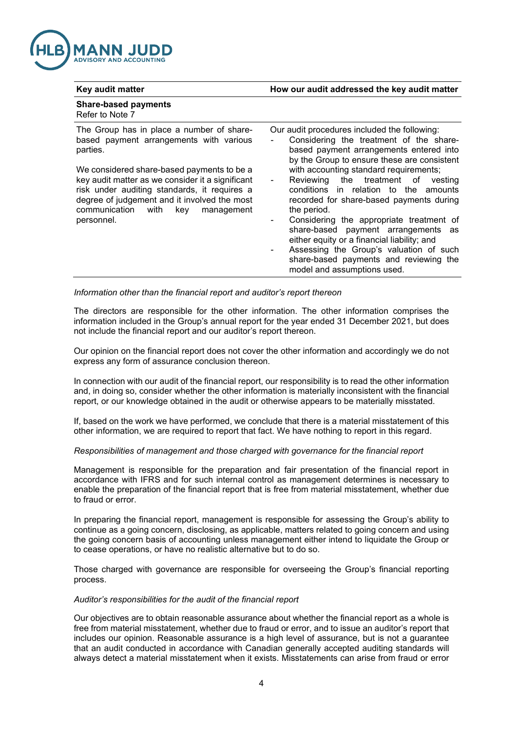

| <b>Share-based payments</b><br>Refer to Note 7<br>Our audit procedures included the following:<br>The Group has in place a number of share-<br>Considering the treatment of the share-<br>based payment arrangements with various<br>based payment arrangements entered into<br>parties.<br>by the Group to ensure these are consistent<br>with accounting standard requirements;<br>We considered share-based payments to be a<br>key audit matter as we consider it a significant<br>Reviewing the treatment of<br>vesting<br>risk under auditing standards, it requires a<br>conditions in relation to the amounts<br>degree of judgement and it involved the most<br>recorded for share-based payments during<br>communication with<br>the period.<br>key<br>management<br>Considering the appropriate treatment of<br>personnel.<br>share-based payment arrangements as<br>either equity or a financial liability; and<br>Assessing the Group's valuation of such<br>share-based payments and reviewing the<br>model and assumptions used. | Key audit matter | How our audit addressed the key audit matter |
|-------------------------------------------------------------------------------------------------------------------------------------------------------------------------------------------------------------------------------------------------------------------------------------------------------------------------------------------------------------------------------------------------------------------------------------------------------------------------------------------------------------------------------------------------------------------------------------------------------------------------------------------------------------------------------------------------------------------------------------------------------------------------------------------------------------------------------------------------------------------------------------------------------------------------------------------------------------------------------------------------------------------------------------------------|------------------|----------------------------------------------|
|                                                                                                                                                                                                                                                                                                                                                                                                                                                                                                                                                                                                                                                                                                                                                                                                                                                                                                                                                                                                                                                 |                  |                                              |
|                                                                                                                                                                                                                                                                                                                                                                                                                                                                                                                                                                                                                                                                                                                                                                                                                                                                                                                                                                                                                                                 |                  |                                              |

*Information other than the financial report and auditor's report thereon*

The directors are responsible for the other information. The other information comprises the information included in the Group's annual report for the year ended 31 December 2021, but does not include the financial report and our auditor's report thereon.

Our opinion on the financial report does not cover the other information and accordingly we do not express any form of assurance conclusion thereon.

In connection with our audit of the financial report, our responsibility is to read the other information and, in doing so, consider whether the other information is materially inconsistent with the financial report, or our knowledge obtained in the audit or otherwise appears to be materially misstated.

If, based on the work we have performed, we conclude that there is a material misstatement of this other information, we are required to report that fact. We have nothing to report in this regard.

#### *Responsibilities of management and those charged with governance for the financial report*

Management is responsible for the preparation and fair presentation of the financial report in accordance with IFRS and for such internal control as management determines is necessary to enable the preparation of the financial report that is free from material misstatement, whether due to fraud or error.

In preparing the financial report, management is responsible for assessing the Group's ability to continue as a going concern, disclosing, as applicable, matters related to going concern and using the going concern basis of accounting unless management either intend to liquidate the Group or to cease operations, or have no realistic alternative but to do so.

Those charged with governance are responsible for overseeing the Group's financial reporting process.

#### *Auditor's responsibilities for the audit of the financial report*

Our objectives are to obtain reasonable assurance about whether the financial report as a whole is free from material misstatement, whether due to fraud or error, and to issue an auditor's report that includes our opinion. Reasonable assurance is a high level of assurance, but is not a guarantee that an audit conducted in accordance with Canadian generally accepted auditing standards will always detect a material misstatement when it exists. Misstatements can arise from fraud or error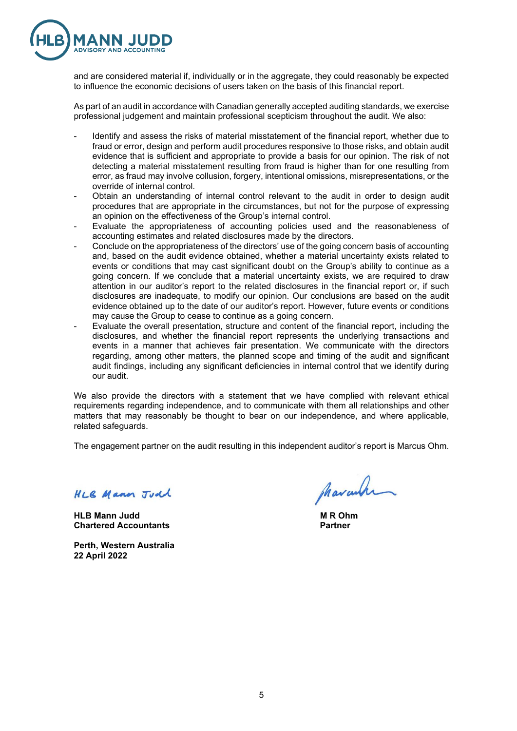

and are considered material if, individually or in the aggregate, they could reasonably be expected to influence the economic decisions of users taken on the basis of this financial report.

As part of an audit in accordance with Canadian generally accepted auditing standards, we exercise professional judgement and maintain professional scepticism throughout the audit. We also:

- Identify and assess the risks of material misstatement of the financial report, whether due to fraud or error, design and perform audit procedures responsive to those risks, and obtain audit evidence that is sufficient and appropriate to provide a basis for our opinion. The risk of not detecting a material misstatement resulting from fraud is higher than for one resulting from error, as fraud may involve collusion, forgery, intentional omissions, misrepresentations, or the override of internal control.
- Obtain an understanding of internal control relevant to the audit in order to design audit procedures that are appropriate in the circumstances, but not for the purpose of expressing an opinion on the effectiveness of the Group's internal control.
- Evaluate the appropriateness of accounting policies used and the reasonableness of accounting estimates and related disclosures made by the directors.
- Conclude on the appropriateness of the directors' use of the going concern basis of accounting and, based on the audit evidence obtained, whether a material uncertainty exists related to events or conditions that may cast significant doubt on the Group's ability to continue as a going concern. If we conclude that a material uncertainty exists, we are required to draw attention in our auditor's report to the related disclosures in the financial report or, if such disclosures are inadequate, to modify our opinion. Our conclusions are based on the audit evidence obtained up to the date of our auditor's report. However, future events or conditions may cause the Group to cease to continue as a going concern.
- Evaluate the overall presentation, structure and content of the financial report, including the disclosures, and whether the financial report represents the underlying transactions and events in a manner that achieves fair presentation. We communicate with the directors regarding, among other matters, the planned scope and timing of the audit and significant audit findings, including any significant deficiencies in internal control that we identify during our audit.

We also provide the directors with a statement that we have complied with relevant ethical requirements regarding independence, and to communicate with them all relationships and other matters that may reasonably be thought to bear on our independence, and where applicable, related safeguards.

The engagement partner on the audit resulting in this independent auditor's report is Marcus Ohm.

**HLB Mann Judl** 

**HLB Mann Judd M R Ohm Chartered Accountants Partner** 

**Perth, Western Australia 22 April 2022**

Mavarin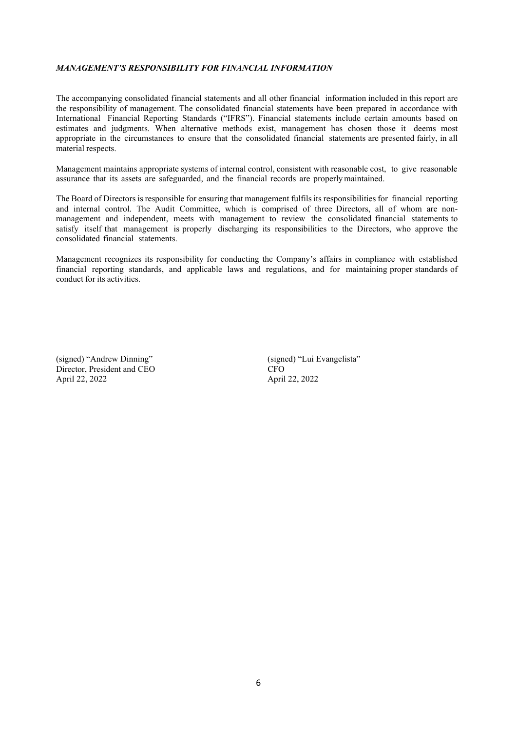#### *MANAGEMENT'S RESPONSIBILITY FOR FINANCIAL INFORMATION*

The accompanying consolidated financial statements and all other financial information included in this report are the responsibility of management. The consolidated financial statements have been prepared in accordance with International Financial Reporting Standards ("IFRS"). Financial statements include certain amounts based on estimates and judgments. When alternative methods exist, management has chosen those it deems most appropriate in the circumstances to ensure that the consolidated financial statements are presented fairly, in all material respects.

Management maintains appropriate systems of internal control, consistent with reasonable cost, to give reasonable assurance that its assets are safeguarded, and the financial records are properlymaintained.

The Board of Directors is responsible for ensuring that management fulfils its responsibilities for financial reporting and internal control. The Audit Committee, which is comprised of three Directors, all of whom are nonmanagement and independent, meets with management to review the consolidated financial statements to satisfy itself that management is properly discharging its responsibilities to the Directors, who approve the consolidated financial statements.

Management recognizes its responsibility for conducting the Company's affairs in compliance with established financial reporting standards, and applicable laws and regulations, and for maintaining proper standards of conduct for its activities.

(signed) "Andrew Dinning" (signed) "Lui Evangelista"<br>
Director President and CEO (CEO Director, President and CEO<br>April 22, 2022

April 22, 2022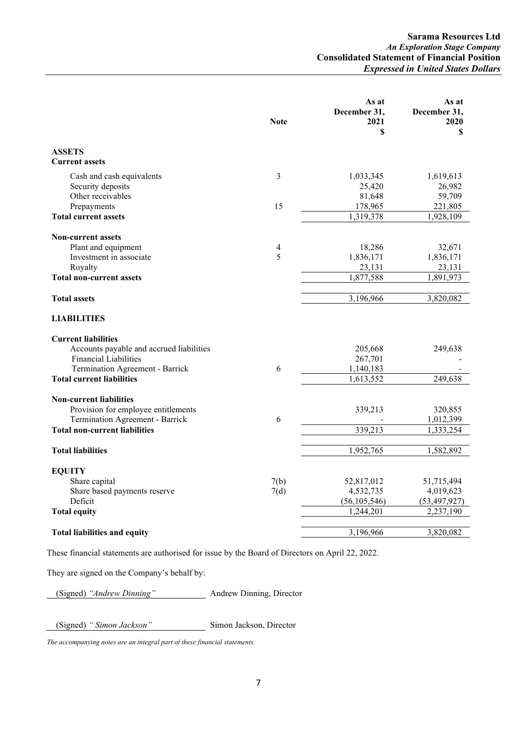## **Sarama Resources Ltd** *An Exploration Stage Company* **Consolidated Statement of Financial Position** *Expressed in United States Dollars*

|                                          | <b>Note</b>    | As at<br>December 31,<br>2021<br>\$ | As at<br>December 31,<br>2020<br>\$ |
|------------------------------------------|----------------|-------------------------------------|-------------------------------------|
| <b>ASSETS</b>                            |                |                                     |                                     |
| <b>Current assets</b>                    |                |                                     |                                     |
| Cash and cash equivalents                | 3              | 1,033,345                           | 1,619,613                           |
| Security deposits                        |                | 25,420                              | 26,982                              |
| Other receivables                        |                | 81,648                              | 59,709                              |
| Prepayments                              | 15             | 178,965                             | 221,805                             |
| <b>Total current assets</b>              |                | 1,319,378                           | 1,928,109                           |
| <b>Non-current assets</b>                |                |                                     |                                     |
| Plant and equipment                      | $\overline{4}$ | 18,286                              | 32,671                              |
| Investment in associate                  | 5              | 1,836,171                           | 1,836,171                           |
| Royalty                                  |                | 23,131                              | 23,131                              |
| <b>Total non-current assets</b>          |                | 1,877,588                           | 1,891,973                           |
| <b>Total assets</b>                      |                | 3,196,966                           | 3,820,082                           |
| <b>LIABILITIES</b>                       |                |                                     |                                     |
| <b>Current liabilities</b>               |                |                                     |                                     |
| Accounts payable and accrued liabilities |                | 205,668                             | 249,638                             |
| Financial Liabilities                    |                | 267,701                             |                                     |
| Termination Agreement - Barrick          | 6              | 1,140,183                           |                                     |
| <b>Total current liabilities</b>         |                | 1,613,552                           | 249,638                             |
| <b>Non-current liabilities</b>           |                |                                     |                                     |
| Provision for employee entitlements      |                | 339,213                             | 320,855                             |
| Termination Agreement - Barrick          | 6              |                                     | 1,012,399                           |
| <b>Total non-current liabilities</b>     |                | 339,213                             | 1,333,254                           |
| <b>Total liabilities</b>                 |                | 1,952,765                           | 1,582,892                           |
|                                          |                |                                     |                                     |
| <b>EQUITY</b>                            |                |                                     |                                     |
| Share capital                            | 7(b)           | 52,817,012                          | 51,715,494                          |
| Share based payments reserve             | 7(d)           | 4,532,735                           | 4,019,623                           |
| Deficit                                  |                | (56, 105, 546)                      | (53, 497, 927)                      |
| <b>Total equity</b>                      |                | 1,244,201                           | 2,237,190                           |
| <b>Total liabilities and equity</b>      |                | 3,196,966                           | 3,820,082                           |

These financial statements are authorised for issue by the Board of Directors on April 22, 2022.

They are signed on the Company's behalf by:

(Signed) *"Andrew Dinning"* Andrew Dinning, Director

(Signed) *" Simon Jackson"* Simon Jackson, Director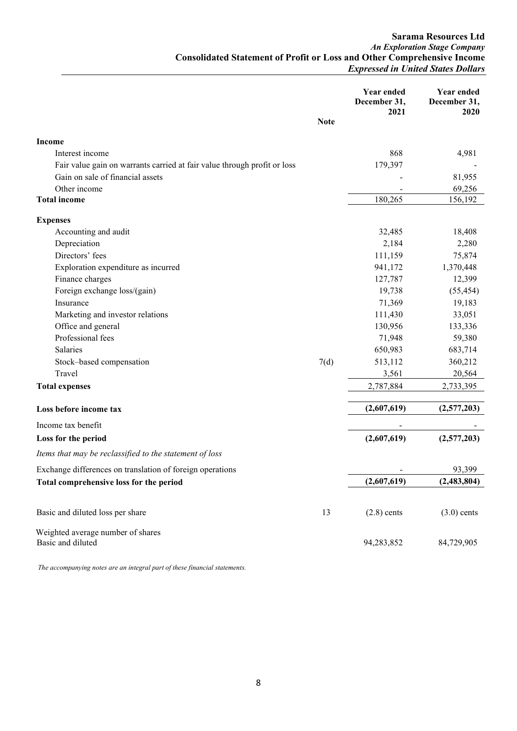## **Sarama Resources Ltd** *An Exploration Stage Company* **Consolidated Statement of Profit or Loss and Other Comprehensive Income** *Expressed in United States Dollars*

|                                                                          |             | <b>Year ended</b><br>December 31,<br>2021 | Year ended<br>December 31,<br>2020 |
|--------------------------------------------------------------------------|-------------|-------------------------------------------|------------------------------------|
|                                                                          | <b>Note</b> |                                           |                                    |
| Income                                                                   |             |                                           |                                    |
| Interest income                                                          |             | 868                                       | 4,981                              |
| Fair value gain on warrants carried at fair value through profit or loss |             | 179,397                                   |                                    |
| Gain on sale of financial assets                                         |             |                                           | 81,955                             |
| Other income                                                             |             |                                           | 69,256                             |
| <b>Total income</b>                                                      |             | 180,265                                   | 156,192                            |
| <b>Expenses</b>                                                          |             |                                           |                                    |
| Accounting and audit                                                     |             | 32,485                                    | 18,408                             |
| Depreciation                                                             |             | 2,184                                     | 2,280                              |
| Directors' fees                                                          |             | 111,159                                   | 75,874                             |
| Exploration expenditure as incurred                                      |             | 941,172                                   | 1,370,448                          |
| Finance charges                                                          |             | 127,787                                   | 12,399                             |
| Foreign exchange loss/(gain)                                             |             | 19,738                                    | (55, 454)                          |
| Insurance                                                                |             | 71,369                                    | 19,183                             |
| Marketing and investor relations                                         |             | 111,430                                   | 33,051                             |
| Office and general                                                       |             | 130,956                                   | 133,336                            |
| Professional fees                                                        |             | 71,948                                    | 59,380                             |
| Salaries                                                                 |             | 650,983                                   | 683,714                            |
| Stock-based compensation                                                 | 7(d)        | 513,112                                   | 360,212                            |
| Travel                                                                   |             | 3,561                                     | 20,564                             |
| <b>Total expenses</b>                                                    |             | 2,787,884                                 | 2,733,395                          |
| Loss before income tax                                                   |             | (2,607,619)                               | (2,577,203)                        |
| Income tax benefit                                                       |             |                                           |                                    |
| Loss for the period                                                      |             | (2,607,619)                               | (2,577,203)                        |
| Items that may be reclassified to the statement of loss                  |             |                                           |                                    |
| Exchange differences on translation of foreign operations                |             |                                           | 93,399                             |
| Total comprehensive loss for the period                                  |             | (2,607,619)                               | (2,483,804)                        |
|                                                                          |             |                                           |                                    |
| Basic and diluted loss per share                                         | 13          | $(2.8)$ cents                             | $(3.0)$ cents                      |
| Weighted average number of shares<br>Basic and diluted                   |             | 94,283,852                                | 84,729,905                         |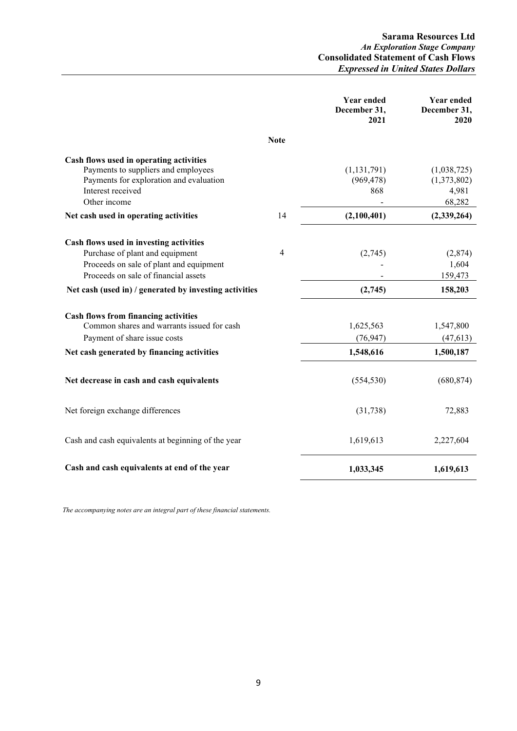**Sarama Resources Ltd** *An Exploration Stage Company* **Consolidated Statement of Cash Flows** *Expressed in United States Dollars*

|                                                                                                                                                                |                | <b>Year ended</b><br>December 31,<br>2021 | <b>Year ended</b><br>December 31,<br>2020     |
|----------------------------------------------------------------------------------------------------------------------------------------------------------------|----------------|-------------------------------------------|-----------------------------------------------|
|                                                                                                                                                                | <b>Note</b>    |                                           |                                               |
| Cash flows used in operating activities<br>Payments to suppliers and employees<br>Payments for exploration and evaluation<br>Interest received<br>Other income |                | (1,131,791)<br>(969, 478)<br>868          | (1,038,725)<br>(1,373,802)<br>4,981<br>68,282 |
| Net cash used in operating activities                                                                                                                          | 14             | (2,100,401)                               | (2,339,264)                                   |
| Cash flows used in investing activities                                                                                                                        | $\overline{4}$ |                                           |                                               |
| Purchase of plant and equipment<br>Proceeds on sale of plant and equipment                                                                                     |                | (2,745)                                   | (2,874)<br>1,604                              |
| Proceeds on sale of financial assets                                                                                                                           |                |                                           | 159,473                                       |
| Net cash (used in) / generated by investing activities                                                                                                         |                | (2,745)                                   | 158,203                                       |
| <b>Cash flows from financing activities</b><br>Common shares and warrants issued for cash<br>Payment of share issue costs                                      |                | 1,625,563<br>(76, 947)                    | 1,547,800<br>(47, 613)                        |
| Net cash generated by financing activities                                                                                                                     |                | 1,548,616                                 | 1,500,187                                     |
| Net decrease in cash and cash equivalents                                                                                                                      |                | (554, 530)                                | (680, 874)                                    |
| Net foreign exchange differences                                                                                                                               |                | (31, 738)                                 | 72,883                                        |
| Cash and cash equivalents at beginning of the year                                                                                                             |                | 1,619,613                                 | 2,227,604                                     |
| Cash and cash equivalents at end of the year                                                                                                                   |                | 1,033,345                                 | 1,619,613                                     |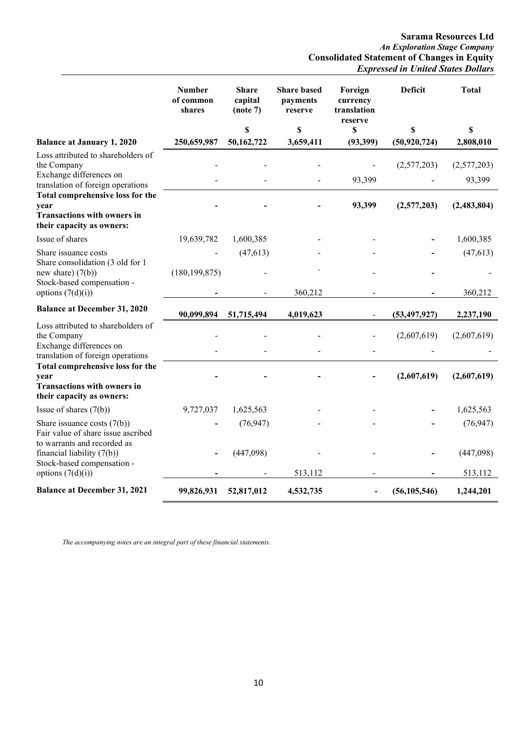**Sarama Resources Ltd** *An Exploration Stage Company* **Consolidated Statement of Changes in Equity**  *Expressed in United States Dollars*

|                                                                                                                   | <b>Number</b><br>of common<br>shares | <b>Share</b><br>capital<br>(note 7) | <b>Share based</b><br>payments<br>reserve | Foreign<br>currency<br>translation<br>reserve | <b>Deficit</b>       | <b>Total</b>          |
|-------------------------------------------------------------------------------------------------------------------|--------------------------------------|-------------------------------------|-------------------------------------------|-----------------------------------------------|----------------------|-----------------------|
| <b>Balance at January 1, 2020</b>                                                                                 | 250,659,987                          | \$<br>50,162,722                    | \$<br>3,659,411                           | \$<br>(93,399)                                | \$<br>(50, 920, 724) | \$<br>2,808,010       |
| Loss attributed to shareholders of<br>the Company<br>Exchange differences on<br>translation of foreign operations |                                      |                                     |                                           | 93,399                                        | (2,577,203)          | (2,577,203)<br>93,399 |
| Total comprehensive loss for the<br>vear<br><b>Transactions with owners in</b><br>their capacity as owners:       |                                      |                                     |                                           | 93,399                                        | (2,577,203)          | (2,483,804)           |
| Issue of shares                                                                                                   | 19,639,782                           | 1,600,385                           |                                           |                                               |                      | 1,600,385             |
| Share issuance costs                                                                                              |                                      | (47, 613)                           |                                           |                                               |                      | (47, 613)             |
| Share consolidation (3 old for 1<br>new share) $(7(b))$<br>Stock-based compensation -                             | (180, 199, 875)                      |                                     |                                           |                                               |                      |                       |
| options $(7(d)(i))$                                                                                               |                                      |                                     | 360,212                                   |                                               |                      | 360,212               |
| <b>Balance at December 31, 2020</b>                                                                               | 90,099,894                           | 51,715,494                          | 4,019,623                                 |                                               | (53, 497, 927)       | 2,237,190             |
| Loss attributed to shareholders of<br>the Company<br>Exchange differences on                                      |                                      |                                     |                                           |                                               | (2,607,619)          | (2,607,619)           |
| translation of foreign operations                                                                                 |                                      |                                     |                                           |                                               |                      |                       |
| Total comprehensive loss for the<br>year<br><b>Transactions with owners in</b><br>their capacity as owners:       |                                      |                                     |                                           |                                               | (2,607,619)          | (2,607,619)           |
| Issue of shares $(7(b))$                                                                                          | 9,727,037                            | 1,625,563                           |                                           |                                               |                      | 1,625,563             |
| Share issuance costs $(7(b))$<br>Fair value of share issue ascribed<br>to warrants and recorded as                |                                      | (76, 947)                           |                                           |                                               |                      | (76, 947)             |
| financial liability $(7(b))$<br>Stock-based compensation -                                                        |                                      | (447,098)                           | 513,112                                   |                                               |                      | (447,098)<br>513,112  |
| options $(7(d)(i))$                                                                                               |                                      |                                     |                                           |                                               |                      |                       |
| <b>Balance at December 31, 2021</b>                                                                               | 99,826,931                           | 52,817,012                          | 4,532,735                                 |                                               | (56, 105, 546)       | 1,244,201             |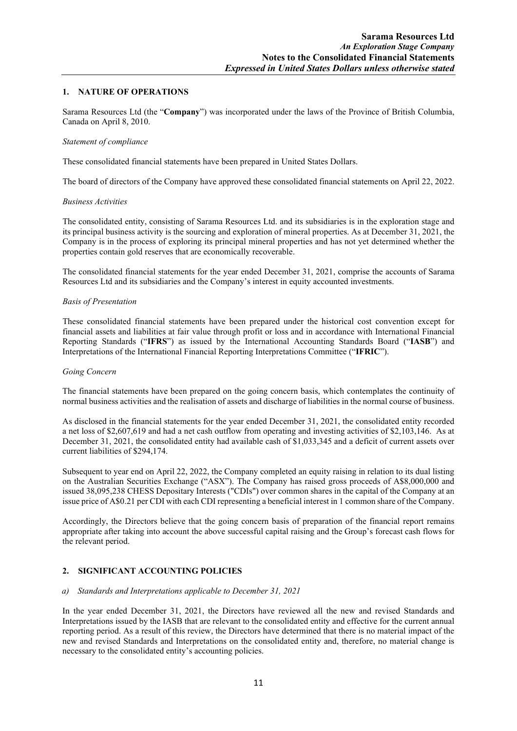#### **1. NATURE OF OPERATIONS**

Sarama Resources Ltd (the "**Company**") was incorporated under the laws of the Province of British Columbia, Canada on April 8, 2010.

#### *Statement of compliance*

These consolidated financial statements have been prepared in United States Dollars.

The board of directors of the Company have approved these consolidated financial statements on April 22, 2022.

#### *Business Activities*

The consolidated entity, consisting of Sarama Resources Ltd. and its subsidiaries is in the exploration stage and its principal business activity is the sourcing and exploration of mineral properties. As at December 31, 2021, the Company is in the process of exploring its principal mineral properties and has not yet determined whether the properties contain gold reserves that are economically recoverable.

The consolidated financial statements for the year ended December 31, 2021, comprise the accounts of Sarama Resources Ltd and its subsidiaries and the Company's interest in equity accounted investments.

#### *Basis of Presentation*

These consolidated financial statements have been prepared under the historical cost convention except for financial assets and liabilities at fair value through profit or loss and in accordance with International Financial Reporting Standards ("**IFRS**") as issued by the International Accounting Standards Board ("**IASB**") and Interpretations of the International Financial Reporting Interpretations Committee ("**IFRIC**").

#### *Going Concern*

The financial statements have been prepared on the going concern basis, which contemplates the continuity of normal business activities and the realisation of assets and discharge of liabilities in the normal course of business.

As disclosed in the financial statements for the year ended December 31, 2021, the consolidated entity recorded a net loss of \$2,607,619 and had a net cash outflow from operating and investing activities of \$2,103,146. As at December 31, 2021, the consolidated entity had available cash of \$1,033,345 and a deficit of current assets over current liabilities of \$294,174.

Subsequent to year end on April 22, 2022, the Company completed an equity raising in relation to its dual listing on the Australian Securities Exchange ("ASX"). The Company has raised gross proceeds of A\$8,000,000 and issued 38,095,238 CHESS Depositary Interests ("CDIs") over common shares in the capital of the Company at an issue price of A\$0.21 per CDI with each CDI representing a beneficial interest in 1 common share of the Company.

Accordingly, the Directors believe that the going concern basis of preparation of the financial report remains appropriate after taking into account the above successful capital raising and the Group's forecast cash flows for the relevant period.

#### **2. SIGNIFICANT ACCOUNTING POLICIES**

#### *a) Standards and Interpretations applicable to December 31, 2021*

In the year ended December 31, 2021, the Directors have reviewed all the new and revised Standards and Interpretations issued by the IASB that are relevant to the consolidated entity and effective for the current annual reporting period. As a result of this review, the Directors have determined that there is no material impact of the new and revised Standards and Interpretations on the consolidated entity and, therefore, no material change is necessary to the consolidated entity's accounting policies.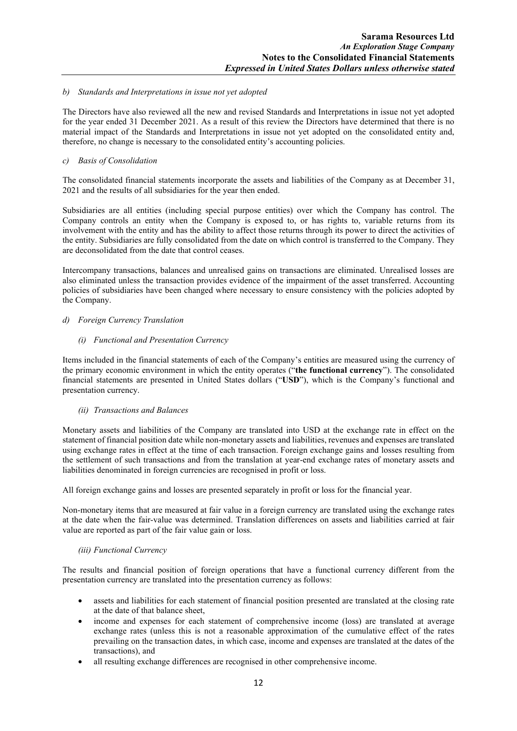#### *b) Standards and Interpretations in issue not yet adopted*

The Directors have also reviewed all the new and revised Standards and Interpretations in issue not yet adopted for the year ended 31 December 2021. As a result of this review the Directors have determined that there is no material impact of the Standards and Interpretations in issue not yet adopted on the consolidated entity and, therefore, no change is necessary to the consolidated entity's accounting policies.

#### *c) Basis of Consolidation*

The consolidated financial statements incorporate the assets and liabilities of the Company as at December 31, 2021 and the results of all subsidiaries for the year then ended.

Subsidiaries are all entities (including special purpose entities) over which the Company has control. The Company controls an entity when the Company is exposed to, or has rights to, variable returns from its involvement with the entity and has the ability to affect those returns through its power to direct the activities of the entity. Subsidiaries are fully consolidated from the date on which control is transferred to the Company. They are deconsolidated from the date that control ceases.

Intercompany transactions, balances and unrealised gains on transactions are eliminated. Unrealised losses are also eliminated unless the transaction provides evidence of the impairment of the asset transferred. Accounting policies of subsidiaries have been changed where necessary to ensure consistency with the policies adopted by the Company.

#### *d) Foreign Currency Translation*

#### *(i) Functional and Presentation Currency*

Items included in the financial statements of each of the Company's entities are measured using the currency of the primary economic environment in which the entity operates ("**the functional currency**"). The consolidated financial statements are presented in United States dollars ("**USD**"), which is the Company's functional and presentation currency.

#### *(ii) Transactions and Balances*

Monetary assets and liabilities of the Company are translated into USD at the exchange rate in effect on the statement of financial position date while non-monetary assets and liabilities, revenues and expenses are translated using exchange rates in effect at the time of each transaction. Foreign exchange gains and losses resulting from the settlement of such transactions and from the translation at year-end exchange rates of monetary assets and liabilities denominated in foreign currencies are recognised in profit or loss.

All foreign exchange gains and losses are presented separately in profit or loss for the financial year.

Non-monetary items that are measured at fair value in a foreign currency are translated using the exchange rates at the date when the fair-value was determined. Translation differences on assets and liabilities carried at fair value are reported as part of the fair value gain or loss.

#### *(iii) Functional Currency*

The results and financial position of foreign operations that have a functional currency different from the presentation currency are translated into the presentation currency as follows:

- assets and liabilities for each statement of financial position presented are translated at the closing rate at the date of that balance sheet,
- income and expenses for each statement of comprehensive income (loss) are translated at average exchange rates (unless this is not a reasonable approximation of the cumulative effect of the rates prevailing on the transaction dates, in which case, income and expenses are translated at the dates of the transactions), and
- all resulting exchange differences are recognised in other comprehensive income.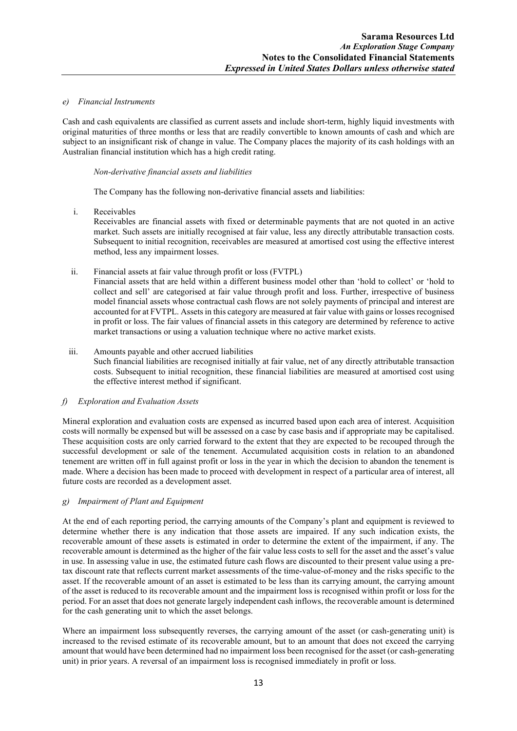#### *e) Financial Instruments*

Cash and cash equivalents are classified as current assets and include short-term, highly liquid investments with original maturities of three months or less that are readily convertible to known amounts of cash and which are subject to an insignificant risk of change in value. The Company places the majority of its cash holdings with an Australian financial institution which has a high credit rating.

#### *Non-derivative financial assets and liabilities*

The Company has the following non-derivative financial assets and liabilities:

i. Receivables

Receivables are financial assets with fixed or determinable payments that are not quoted in an active market. Such assets are initially recognised at fair value, less any directly attributable transaction costs. Subsequent to initial recognition, receivables are measured at amortised cost using the effective interest method, less any impairment losses.

ii. Financial assets at fair value through profit or loss (FVTPL)

Financial assets that are held within a different business model other than 'hold to collect' or 'hold to collect and sell' are categorised at fair value through profit and loss. Further, irrespective of business model financial assets whose contractual cash flows are not solely payments of principal and interest are accounted for at FVTPL. Assets in this category are measured at fair value with gains or losses recognised in profit or loss. The fair values of financial assets in this category are determined by reference to active market transactions or using a valuation technique where no active market exists.

iii. Amounts payable and other accrued liabilities Such financial liabilities are recognised initially at fair value, net of any directly attributable transaction costs. Subsequent to initial recognition, these financial liabilities are measured at amortised cost using the effective interest method if significant.

#### *f) Exploration and Evaluation Assets*

Mineral exploration and evaluation costs are expensed as incurred based upon each area of interest. Acquisition costs will normally be expensed but will be assessed on a case by case basis and if appropriate may be capitalised. These acquisition costs are only carried forward to the extent that they are expected to be recouped through the successful development or sale of the tenement. Accumulated acquisition costs in relation to an abandoned tenement are written off in full against profit or loss in the year in which the decision to abandon the tenement is made. Where a decision has been made to proceed with development in respect of a particular area of interest, all future costs are recorded as a development asset.

#### *g) Impairment of Plant and Equipment*

At the end of each reporting period, the carrying amounts of the Company's plant and equipment is reviewed to determine whether there is any indication that those assets are impaired. If any such indication exists, the recoverable amount of these assets is estimated in order to determine the extent of the impairment, if any. The recoverable amount is determined as the higher of the fair value less costs to sell for the asset and the asset's value in use. In assessing value in use, the estimated future cash flows are discounted to their present value using a pretax discount rate that reflects current market assessments of the time-value-of-money and the risks specific to the asset. If the recoverable amount of an asset is estimated to be less than its carrying amount, the carrying amount of the asset is reduced to its recoverable amount and the impairment loss is recognised within profit or loss for the period. For an asset that does not generate largely independent cash inflows, the recoverable amount is determined for the cash generating unit to which the asset belongs.

Where an impairment loss subsequently reverses, the carrying amount of the asset (or cash-generating unit) is increased to the revised estimate of its recoverable amount, but to an amount that does not exceed the carrying amount that would have been determined had no impairment loss been recognised for the asset (or cash-generating unit) in prior years. A reversal of an impairment loss is recognised immediately in profit or loss.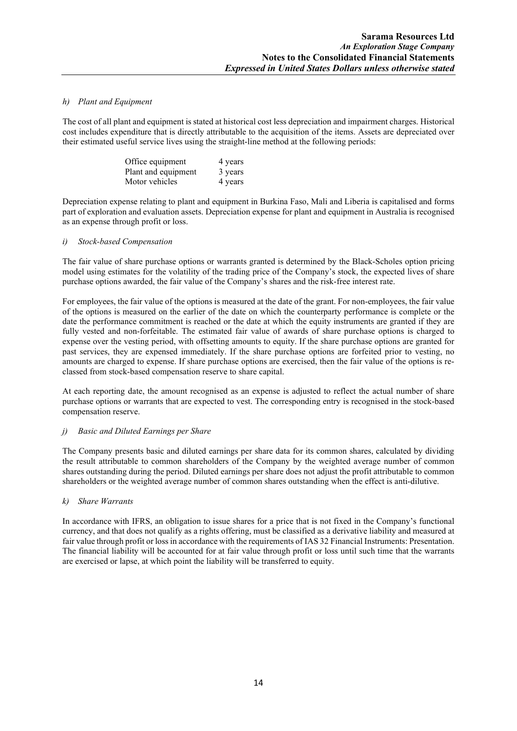#### *h) Plant and Equipment*

The cost of all plant and equipment is stated at historical cost less depreciation and impairment charges. Historical cost includes expenditure that is directly attributable to the acquisition of the items. Assets are depreciated over their estimated useful service lives using the straight-line method at the following periods:

| Office equipment    | 4 years |
|---------------------|---------|
| Plant and equipment | 3 years |
| Motor vehicles      | 4 years |

Depreciation expense relating to plant and equipment in Burkina Faso, Mali and Liberia is capitalised and forms part of exploration and evaluation assets. Depreciation expense for plant and equipment in Australia is recognised as an expense through profit or loss.

#### *i) Stock-based Compensation*

The fair value of share purchase options or warrants granted is determined by the Black-Scholes option pricing model using estimates for the volatility of the trading price of the Company's stock, the expected lives of share purchase options awarded, the fair value of the Company's shares and the risk-free interest rate.

For employees, the fair value of the options is measured at the date of the grant. For non-employees, the fair value of the options is measured on the earlier of the date on which the counterparty performance is complete or the date the performance commitment is reached or the date at which the equity instruments are granted if they are fully vested and non-forfeitable. The estimated fair value of awards of share purchase options is charged to expense over the vesting period, with offsetting amounts to equity. If the share purchase options are granted for past services, they are expensed immediately. If the share purchase options are forfeited prior to vesting, no amounts are charged to expense. If share purchase options are exercised, then the fair value of the options is reclassed from stock-based compensation reserve to share capital.

At each reporting date, the amount recognised as an expense is adjusted to reflect the actual number of share purchase options or warrants that are expected to vest. The corresponding entry is recognised in the stock-based compensation reserve.

#### *j) Basic and Diluted Earnings per Share*

The Company presents basic and diluted earnings per share data for its common shares, calculated by dividing the result attributable to common shareholders of the Company by the weighted average number of common shares outstanding during the period. Diluted earnings per share does not adjust the profit attributable to common shareholders or the weighted average number of common shares outstanding when the effect is anti-dilutive.

#### *k) Share Warrants*

In accordance with IFRS, an obligation to issue shares for a price that is not fixed in the Company's functional currency, and that does not qualify as a rights offering, must be classified as a derivative liability and measured at fair value through profit or loss in accordance with the requirements of IAS 32 Financial Instruments: Presentation. The financial liability will be accounted for at fair value through profit or loss until such time that the warrants are exercised or lapse, at which point the liability will be transferred to equity.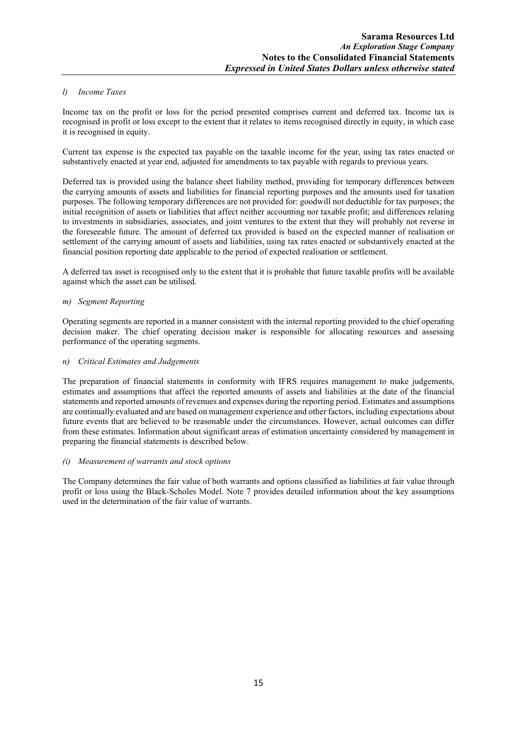#### *l) Income Taxes*

Income tax on the profit or loss for the period presented comprises current and deferred tax. Income tax is recognised in profit or loss except to the extent that it relates to items recognised directly in equity, in which case it is recognised in equity.

Current tax expense is the expected tax payable on the taxable income for the year, using tax rates enacted or substantively enacted at year end, adjusted for amendments to tax payable with regards to previous years.

Deferred tax is provided using the balance sheet liability method, providing for temporary differences between the carrying amounts of assets and liabilities for financial reporting purposes and the amounts used for taxation purposes. The following temporary differences are not provided for: goodwill not deductible for tax purposes; the initial recognition of assets or liabilities that affect neither accounting nor taxable profit; and differences relating to investments in subsidiaries, associates, and joint ventures to the extent that they will probably not reverse in the foreseeable future. The amount of deferred tax provided is based on the expected manner of realisation or settlement of the carrying amount of assets and liabilities, using tax rates enacted or substantively enacted at the financial position reporting date applicable to the period of expected realisation or settlement.

A deferred tax asset is recognised only to the extent that it is probable that future taxable profits will be available against which the asset can be utilised.

#### *m) Segment Reporting*

Operating segments are reported in a manner consistent with the internal reporting provided to the chief operating decision maker. The chief operating decision maker is responsible for allocating resources and assessing performance of the operating segments.

#### *n) Critical Estimates and Judgements*

The preparation of financial statements in conformity with IFRS requires management to make judgements, estimates and assumptions that affect the reported amounts of assets and liabilities at the date of the financial statements and reported amounts of revenues and expenses during the reporting period. Estimates and assumptions are continually evaluated and are based on management experience and other factors, including expectations about future events that are believed to be reasonable under the circumstances. However, actual outcomes can differ from these estimates. Information about significant areas of estimation uncertainty considered by management in preparing the financial statements is described below.

#### *(i) Measurement of warrants and stock options*

The Company determines the fair value of both warrants and options classified as liabilities at fair value through profit or loss using the Black-Scholes Model. Note 7 provides detailed information about the key assumptions used in the determination of the fair value of warrants.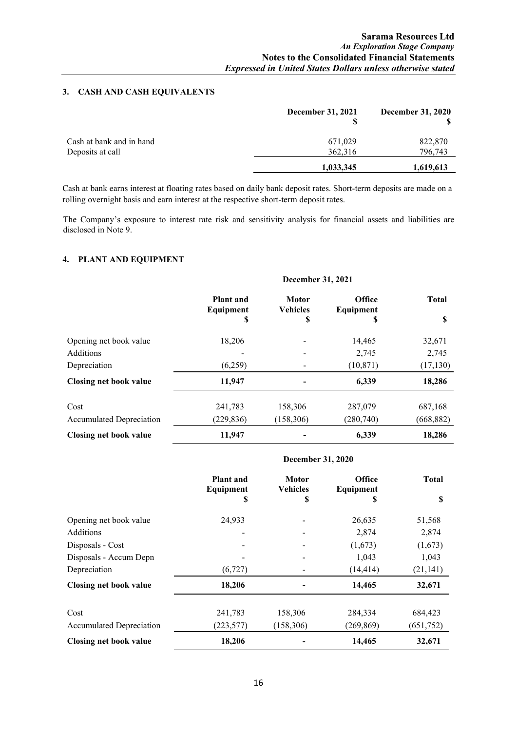## **3. CASH AND CASH EQUIVALENTS**

|                          | December 31, 2021 | <b>December 31, 2020</b> |
|--------------------------|-------------------|--------------------------|
| Cash at bank and in hand | 671,029           | 822,870                  |
| Deposits at call         | 362,316           | 796,743                  |
|                          | 1,033,345         | 1,619,613                |

Cash at bank earns interest at floating rates based on daily bank deposit rates. Short-term deposits are made on a rolling overnight basis and earn interest at the respective short-term deposit rates.

The Company's exposure to interest rate risk and sensitivity analysis for financial assets and liabilities are disclosed in Note 9.

### **4. PLANT AND EQUIPMENT**

|                                 | <b>December 31, 2021</b>      |                                 |                            |              |
|---------------------------------|-------------------------------|---------------------------------|----------------------------|--------------|
|                                 | <b>Plant</b> and<br>Equipment | <b>Motor</b><br><b>Vehicles</b> | <b>Office</b><br>Equipment | <b>Total</b> |
|                                 | \$                            | \$                              | S                          | S            |
| Opening net book value          | 18,206                        |                                 | 14,465                     | 32,671       |
| Additions                       |                               |                                 | 2,745                      | 2,745        |
| Depreciation                    | (6,259)                       |                                 | (10, 871)                  | (17, 130)    |
| <b>Closing net book value</b>   | 11,947                        |                                 | 6,339                      | 18,286       |
| Cost                            | 241,783                       | 158,306                         | 287,079                    | 687,168      |
| <b>Accumulated Depreciation</b> | (229, 836)                    | (158,306)                       | (280,740)                  | (668, 882)   |
| Closing net book value          | 11,947                        |                                 | 6,339                      | 18,286       |

#### **December 31, 2020**

|                               | <b>Plant</b> and<br>Equipment | <b>Motor</b><br><b>Vehicles</b> | Office<br>Equipment | <b>Total</b> |
|-------------------------------|-------------------------------|---------------------------------|---------------------|--------------|
|                               | S                             | S                               | S                   | S            |
| Opening net book value        | 24,933                        |                                 | 26,635              | 51,568       |
| <b>Additions</b>              | ۰                             |                                 | 2,874               | 2,874        |
| Disposals - Cost              |                               |                                 | (1,673)             | (1,673)      |
| Disposals - Accum Depn        |                               |                                 | 1,043               | 1,043        |
| Depreciation                  | (6, 727)                      |                                 | (14, 414)           | (21, 141)    |
| Closing net book value        | 18,206                        |                                 | 14,465              | 32,671       |
| Cost                          | 241,783                       | 158,306                         | 284,334             | 684,423      |
| Accumulated Depreciation      | (223, 577)                    | (158, 306)                      | (269, 869)          | (651,752)    |
| <b>Closing net book value</b> | 18,206                        |                                 | 14,465              | 32,671       |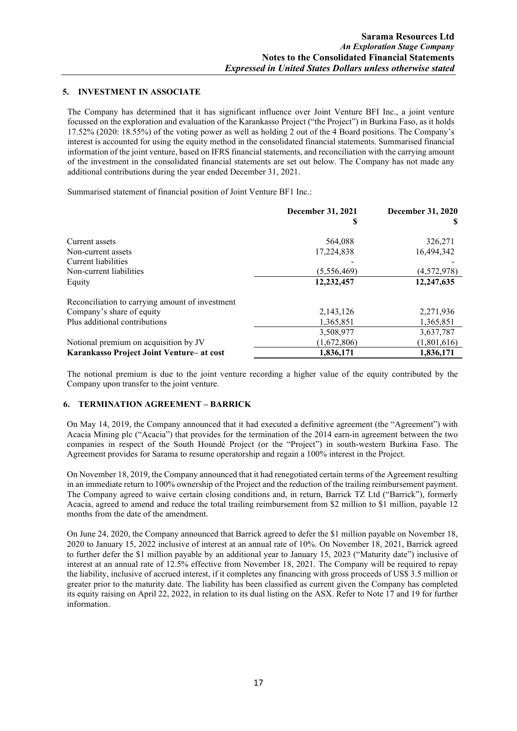#### **5. INVESTMENT IN ASSOCIATE**

The Company has determined that it has significant influence over Joint Venture BFI Inc., a joint venture focussed on the exploration and evaluation of the Karankasso Project ("the Project") in Burkina Faso, as it holds 17.52% (2020: 18.55%) of the voting power as well as holding 2 out of the 4 Board positions. The Company's interest is accounted for using the equity method in the consolidated financial statements. Summarised financial information of the joint venture, based on IFRS financial statements, and reconciliation with the carrying amount of the investment in the consolidated financial statements are set out below. The Company has not made any additional contributions during the year ended December 31, 2021.

Summarised statement of financial position of Joint Venture BF1 Inc.:

|                                                 | December 31, 2021 | <b>December 31, 2020</b> |
|-------------------------------------------------|-------------------|--------------------------|
|                                                 | S                 |                          |
| Current assets                                  | 564,088           | 326,271                  |
| Non-current assets                              | 17,224,838        | 16,494,342               |
| Current liabilities                             |                   |                          |
| Non-current liabilities                         | (5.556, 469)      | (4,572,978)              |
| Equity                                          | 12,232,457        | 12,247,635               |
| Reconciliation to carrying amount of investment |                   |                          |
| Company's share of equity                       | 2,143,126         | 2,271,936                |
| Plus additional contributions                   | 1,365,851         | 1,365,851                |
|                                                 | 3,508,977         | 3,637,787                |
| Notional premium on acquisition by JV           | (1,672,806)       | (1,801,616)              |
| Karankasso Project Joint Venture- at cost       | 1,836,171         | 1,836,171                |

The notional premium is due to the joint venture recording a higher value of the equity contributed by the Company upon transfer to the joint venture.

#### **6. TERMINATION AGREEMENT – BARRICK**

On May 14, 2019, the Company announced that it had executed a definitive agreement (the "Agreement") with Acacia Mining plc ("Acacia") that provides for the termination of the 2014 earn-in agreement between the two companies in respect of the South Houndé Project (or the "Project") in south-western Burkina Faso. The Agreement provides for Sarama to resume operatorship and regain a 100% interest in the Project.

On November 18, 2019, the Company announced that it had renegotiated certain terms of the Agreement resulting in an immediate return to 100% ownership of the Project and the reduction of the trailing reimbursement payment. The Company agreed to waive certain closing conditions and, in return, Barrick TZ Ltd ("Barrick"), formerly Acacia, agreed to amend and reduce the total trailing reimbursement from \$2 million to \$1 million, payable 12 months from the date of the amendment.

On June 24, 2020, the Company announced that Barrick agreed to defer the \$1 million payable on November 18, 2020 to January 15, 2022 inclusive of interest at an annual rate of 10%. On November 18, 2021, Barrick agreed to further defer the \$1 million payable by an additional year to January 15, 2023 ("Maturity date") inclusive of interest at an annual rate of 12.5% effective from November 18, 2021. The Company will be required to repay the liability, inclusive of accrued interest, if it completes any financing with gross proceeds of US\$ 3.5 million or greater prior to the maturity date. The liability has been classified as current given the Company has completed its equity raising on April 22, 2022, in relation to its dual listing on the ASX. Refer to Note 17 and 19 for further information.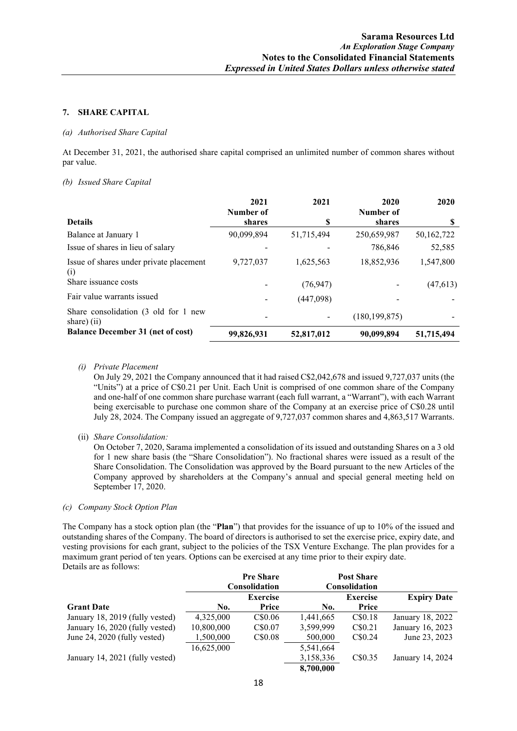#### **7. SHARE CAPITAL**

#### *(a) Authorised Share Capital*

At December 31, 2021, the authorised share capital comprised an unlimited number of common shares without par value.

#### *(b) Issued Share Capital*

|                                                       | 2021<br>Number of | 2021       | 2020<br>Number of | 2020         |
|-------------------------------------------------------|-------------------|------------|-------------------|--------------|
| <b>Details</b>                                        | shares            | S          | shares            | S            |
| Balance at January 1                                  | 90,099,894        | 51,715,494 | 250,659,987       | 50, 162, 722 |
| Issue of shares in lieu of salary                     |                   |            | 786,846           | 52,585       |
| Issue of shares under private placement<br>(i)        | 9,727,037         | 1,625,563  | 18,852,936        | 1,547,800    |
| Share issuance costs                                  |                   | (76, 947)  |                   | (47,613)     |
| Fair value warrants issued                            |                   | (447,098)  |                   |              |
| Share consolidation (3 old for 1 new<br>share) $(ii)$ |                   |            | (180, 199, 875)   |              |
| <b>Balance December 31 (net of cost)</b>              | 99,826,931        | 52,817,012 | 90,099,894        | 51,715,494   |

*(i) Private Placement*

On July 29, 2021 the Company announced that it had raised C\$2,042,678 and issued 9,727,037 units (the "Units") at a price of C\$0.21 per Unit. Each Unit is comprised of one common share of the Company and one-half of one common share purchase warrant (each full warrant, a "Warrant"), with each Warrant being exercisable to purchase one common share of the Company at an exercise price of C\$0.28 until July 28, 2024. The Company issued an aggregate of 9,727,037 common shares and 4,863,517 Warrants.

(ii) *Share Consolidation:*

On October 7, 2020, Sarama implemented a consolidation of its issued and outstanding Shares on a 3 old for 1 new share basis (the "Share Consolidation"). No fractional shares were issued as a result of the Share Consolidation. The Consolidation was approved by the Board pursuant to the new Articles of the Company approved by shareholders at the Company's annual and special general meeting held on September 17, 2020.

#### *(c) Company Stock Option Plan*

The Company has a stock option plan (the "**Plan**") that provides for the issuance of up to 10% of the issued and outstanding shares of the Company. The board of directors is authorised to set the exercise price, expiry date, and vesting provisions for each grant, subject to the policies of the TSX Venture Exchange. The plan provides for a maximum grant period of ten years. Options can be exercised at any time prior to their expiry date. Details are as follows:

|                                 |            | <b>Pre Share</b><br><b>Consolidation</b> |           | <b>Post Share</b><br><b>Consolidation</b> |                    |
|---------------------------------|------------|------------------------------------------|-----------|-------------------------------------------|--------------------|
|                                 |            | <b>Exercise</b>                          |           | <b>Exercise</b>                           | <b>Expiry Date</b> |
| <b>Grant Date</b>               | No.        | Price                                    | No.       | Price                                     |                    |
| January 18, 2019 (fully vested) | 4.325,000  | C\$0.06                                  | 1.441.665 | C\$0.18                                   | January 18, 2022   |
| January 16, 2020 (fully vested) | 10,800,000 | C\$0.07                                  | 3,599,999 | C\$0.21                                   | January 16, 2023   |
| June 24, 2020 (fully vested)    | 1,500,000  | C\$0.08                                  | 500,000   | C\$0.24                                   | June 23, 2023      |
|                                 | 16,625,000 |                                          | 5,541,664 |                                           |                    |
| January 14, 2021 (fully vested) |            |                                          | 3,158,336 | C\$0.35                                   | January 14, 2024   |
|                                 |            |                                          | 8,700,000 |                                           |                    |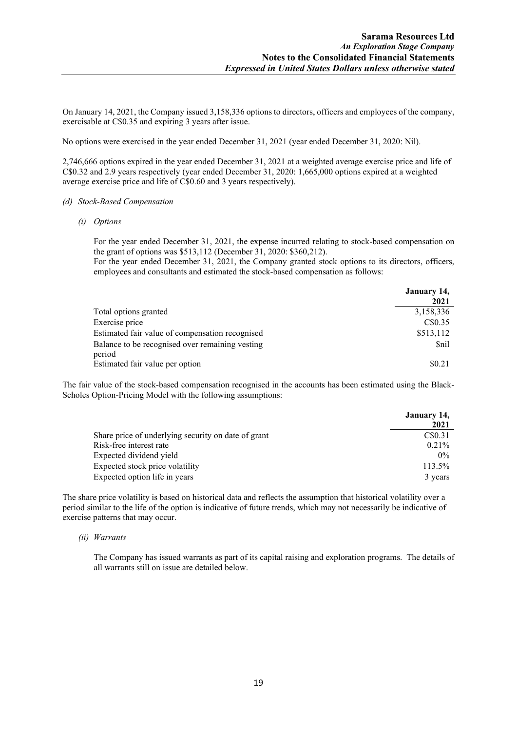On January 14, 2021, the Company issued 3,158,336 options to directors, officers and employees of the company, exercisable at C\$0.35 and expiring 3 years after issue.

No options were exercised in the year ended December 31, 2021 (year ended December 31, 2020: Nil).

2,746,666 options expired in the year ended December 31, 2021 at a weighted average exercise price and life of C\$0.32 and 2.9 years respectively (year ended December 31, 2020: 1,665,000 options expired at a weighted average exercise price and life of C\$0.60 and 3 years respectively).

#### *(d) Stock-Based Compensation*

*(i) Options*

For the year ended December 31, 2021, the expense incurred relating to stock-based compensation on the grant of options was \$513,112 (December 31, 2020: \$360,212).

For the year ended December 31, 2021, the Company granted stock options to its directors, officers, employees and consultants and estimated the stock-based compensation as follows:

|                                                           | January 14, |
|-----------------------------------------------------------|-------------|
|                                                           | 2021        |
| Total options granted                                     | 3,158,336   |
| Exercise price                                            | C\$0.35     |
| Estimated fair value of compensation recognised           | \$513,112   |
| Balance to be recognised over remaining vesting<br>period | <b>Snil</b> |
| Estimated fair value per option                           | \$0.21      |

The fair value of the stock-based compensation recognised in the accounts has been estimated using the Black-Scholes Option-Pricing Model with the following assumptions:

|                                                     | January 14, |
|-----------------------------------------------------|-------------|
|                                                     | 2021        |
| Share price of underlying security on date of grant | C\$0.31     |
| Risk-free interest rate                             | $0.21\%$    |
| Expected dividend yield                             | $0\%$       |
| Expected stock price volatility                     | 113.5%      |
| Expected option life in years                       | 3 years     |

The share price volatility is based on historical data and reflects the assumption that historical volatility over a period similar to the life of the option is indicative of future trends, which may not necessarily be indicative of exercise patterns that may occur.

#### *(ii) Warrants*

The Company has issued warrants as part of its capital raising and exploration programs. The details of all warrants still on issue are detailed below.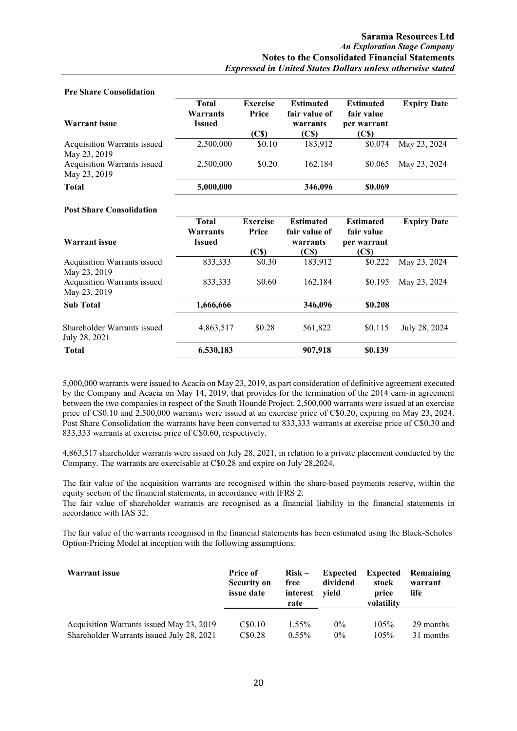| <b>Pre Share Consolidation</b>               |                                           |                                               |                                                                    |                                                                    |                    |
|----------------------------------------------|-------------------------------------------|-----------------------------------------------|--------------------------------------------------------------------|--------------------------------------------------------------------|--------------------|
| <b>Warrant</b> issue                         | <b>Total</b><br>Warrants<br><b>Issued</b> | <b>Exercise</b><br>Price<br>(C <sub>s</sub> ) | <b>Estimated</b><br>fair value of<br>warrants<br>(C <sub>s</sub> ) | <b>Estimated</b><br>fair value<br>per warrant<br>(C <sub>s</sub> ) | <b>Expiry Date</b> |
| Acquisition Warrants issued<br>May 23, 2019  | 2,500,000                                 | \$0.10                                        | 183,912                                                            | \$0.074                                                            | May 23, 2024       |
| Acquisition Warrants issued<br>May 23, 2019  | 2,500,000                                 | \$0.20                                        | 162,184                                                            | \$0.065                                                            | May 23, 2024       |
| <b>Total</b>                                 | 5,000,000                                 |                                               | 346,096                                                            | \$0.069                                                            |                    |
| <b>Post Share Consolidation</b>              |                                           |                                               |                                                                    |                                                                    |                    |
| <b>Warrant</b> issue                         | <b>Total</b><br>Warrants<br><b>Issued</b> | <b>Exercise</b><br>Price<br>(C <sub>s</sub> ) | <b>Estimated</b><br>fair value of<br>warrants<br>(C\$)             | <b>Estimated</b><br>fair value<br>per warrant<br>(C <sub>s</sub> ) | <b>Expiry Date</b> |
| Acquisition Warrants issued<br>May 23, 2019  | 833,333                                   | \$0.30                                        | 183,912                                                            | \$0.222                                                            | May 23, 2024       |
| Acquisition Warrants issued<br>May 23, 2019  | 833,333                                   | \$0.60                                        | 162,184                                                            | \$0.195                                                            | May 23, 2024       |
| <b>Sub Total</b>                             | 1,666,666                                 |                                               | 346,096                                                            | \$0.208                                                            |                    |
| Shareholder Warrants issued<br>July 28, 2021 | 4,863,517                                 | \$0.28                                        | 561,822                                                            | \$0.115                                                            | July 28, 2024      |
| <b>Total</b>                                 | 6,530,183                                 |                                               | 907,918                                                            | \$0.139                                                            |                    |

5,000,000 warrants were issued to Acacia on May 23, 2019, as part consideration of definitive agreement executed by the Company and Acacia on May 14, 2019, that provides for the termination of the 2014 earn-in agreement between the two companies in respect of the South Houndé Project. 2,500,000 warrants were issued at an exercise price of C\$0.10 and 2,500,000 warrants were issued at an exercise price of C\$0.20, expiring on May 23, 2024. Post Share Consolidation the warrants have been converted to 833,333 warrants at exercise price of C\$0.30 and 833,333 warrants at exercise price of C\$0.60, respectively.

4,863,517 shareholder warrants were issued on July 28, 2021, in relation to a private placement conducted by the Company. The warrants are exercisable at C\$0.28 and expire on July 28,2024.

The fair value of the acquisition warrants are recognised within the share-based payments reserve, within the equity section of the financial statements, in accordance with IFRS 2.

The fair value of shareholder warrants are recognised as a financial liability in the financial statements in accordance with IAS 32.

The fair value of the warrants recognised in the financial statements has been estimated using the Black-Scholes Option-Pricing Model at inception with the following assumptions:

| Warrant issue                             | <b>Price of</b><br><b>Security on</b><br><i>issue</i> date | Risk –<br>free<br>interest<br>rate | Expected<br>dividend<br>vield | <b>Expected</b><br>stock<br>price<br>volatility | Remaining<br>warrant<br>life |
|-------------------------------------------|------------------------------------------------------------|------------------------------------|-------------------------------|-------------------------------------------------|------------------------------|
| Acquisition Warrants issued May 23, 2019  | C\$0.10                                                    | $1.55\%$                           | $0\%$                         | 105%                                            | 29 months                    |
| Shareholder Warrants issued July 28, 2021 | C\$0.28                                                    | $0.55\%$                           | $0\%$                         | 105%                                            | 31 months                    |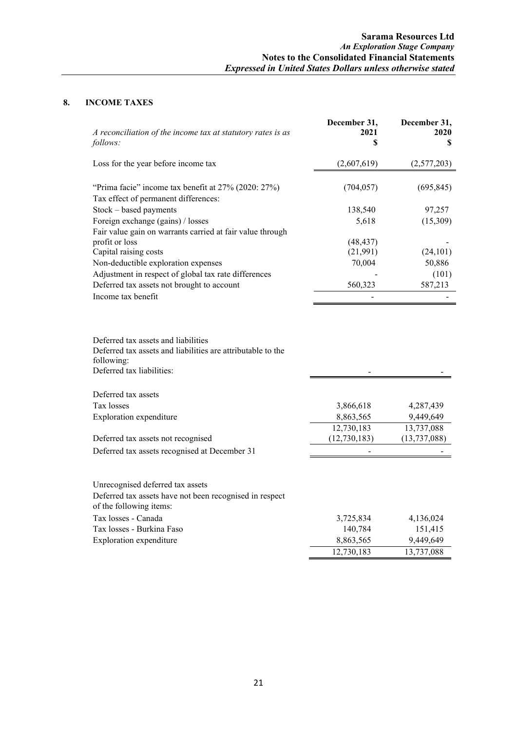## **8. INCOME TAXES**

| A reconciliation of the income tax at statutory rates is as                                                                                   | December 31,<br>2021 | December 31,<br>2020 |
|-----------------------------------------------------------------------------------------------------------------------------------------------|----------------------|----------------------|
| follows:                                                                                                                                      | S                    | S                    |
| Loss for the year before income tax                                                                                                           | (2,607,619)          | (2,577,203)          |
| "Prima facie" income tax benefit at 27% (2020: 27%)<br>Tax effect of permanent differences:                                                   | (704, 057)           | (695, 845)           |
| Stock – based payments                                                                                                                        | 138,540              | 97,257               |
| Foreign exchange (gains) / losses                                                                                                             | 5,618                | (15,309)             |
| Fair value gain on warrants carried at fair value through                                                                                     |                      |                      |
| profit or loss                                                                                                                                | (48, 437)            |                      |
| Capital raising costs                                                                                                                         | (21,991)             | (24, 101)            |
| Non-deductible exploration expenses                                                                                                           | 70,004               | 50,886               |
| Adjustment in respect of global tax rate differences                                                                                          |                      | (101)                |
| Deferred tax assets not brought to account                                                                                                    | 560,323              | 587,213              |
| Income tax benefit                                                                                                                            |                      |                      |
| Deferred tax assets and liabilities<br>Deferred tax assets and liabilities are attributable to the<br>following:<br>Deferred tax liabilities: |                      |                      |
| Deferred tax assets                                                                                                                           |                      |                      |
| Tax losses                                                                                                                                    | 3,866,618            | 4,287,439            |
| Exploration expenditure                                                                                                                       | 8,863,565            | 9,449,649            |
|                                                                                                                                               | 12,730,183           | 13,737,088           |
| Deferred tax assets not recognised                                                                                                            | (12, 730, 183)       | (13, 737, 088)       |
| Deferred tax assets recognised at December 31                                                                                                 |                      |                      |
| Unrecognised deferred tax assets<br>Deferred tax assets have not been recognised in respect<br>of the following items:                        |                      |                      |
| Tax losses - Canada                                                                                                                           | 3,725,834            | 4,136,024            |
| Tax losses - Burkina Faso                                                                                                                     | 140,784              | 151,415              |
| Exploration expenditure                                                                                                                       | 8,863,565            | 9,449,649            |
|                                                                                                                                               | 12,730,183           | 13,737,088           |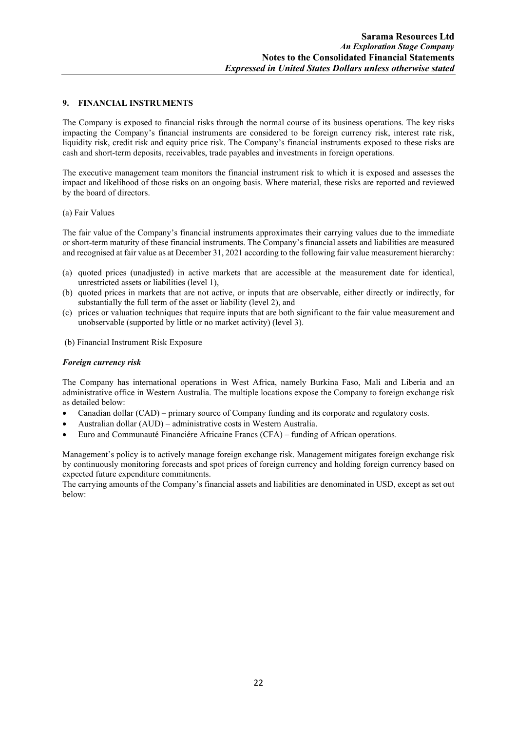#### **9. FINANCIAL INSTRUMENTS**

The Company is exposed to financial risks through the normal course of its business operations. The key risks impacting the Company's financial instruments are considered to be foreign currency risk, interest rate risk, liquidity risk, credit risk and equity price risk. The Company's financial instruments exposed to these risks are cash and short-term deposits, receivables, trade payables and investments in foreign operations.

The executive management team monitors the financial instrument risk to which it is exposed and assesses the impact and likelihood of those risks on an ongoing basis. Where material, these risks are reported and reviewed by the board of directors.

#### (a) Fair Values

The fair value of the Company's financial instruments approximates their carrying values due to the immediate or short-term maturity of these financial instruments. The Company's financial assets and liabilities are measured and recognised at fair value as at December 31, 2021 according to the following fair value measurement hierarchy:

- (a) quoted prices (unadjusted) in active markets that are accessible at the measurement date for identical, unrestricted assets or liabilities (level 1),
- (b) quoted prices in markets that are not active, or inputs that are observable, either directly or indirectly, for substantially the full term of the asset or liability (level 2), and
- (c) prices or valuation techniques that require inputs that are both significant to the fair value measurement and unobservable (supported by little or no market activity) (level 3).
- (b) Financial Instrument Risk Exposure

#### *Foreign currency risk*

The Company has international operations in West Africa, namely Burkina Faso, Mali and Liberia and an administrative office in Western Australia. The multiple locations expose the Company to foreign exchange risk as detailed below:

- Canadian dollar (CAD) primary source of Company funding and its corporate and regulatory costs.
- Australian dollar (AUD) administrative costs in Western Australia.
- Euro and Communauté Financiére Africaine Francs (CFA) funding of African operations.

Management's policy is to actively manage foreign exchange risk. Management mitigates foreign exchange risk by continuously monitoring forecasts and spot prices of foreign currency and holding foreign currency based on expected future expenditure commitments.

The carrying amounts of the Company's financial assets and liabilities are denominated in USD, except as set out below: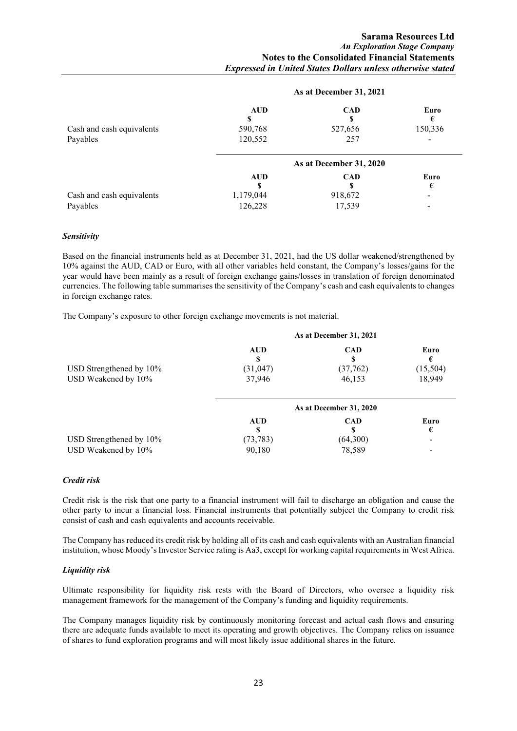|                           | As at December 31, 2021 |                         |           |  |
|---------------------------|-------------------------|-------------------------|-----------|--|
|                           | <b>AUD</b><br>S         | <b>CAD</b><br>S         | Euro<br>€ |  |
| Cash and cash equivalents | 590,768                 | 527,656                 | 150,336   |  |
| Payables                  | 120,552                 | 257                     |           |  |
|                           |                         | As at December 31, 2020 |           |  |
|                           | <b>AUD</b>              | <b>CAD</b>              | Euro      |  |
|                           |                         | S                       | €         |  |
| Cash and cash equivalents | 1,179,044               | 918,672                 |           |  |
| Payables                  | 126,228                 | 17,539                  |           |  |

#### *Sensitivity*

Based on the financial instruments held as at December 31, 2021, had the US dollar weakened/strengthened by 10% against the AUD, CAD or Euro, with all other variables held constant, the Company's losses/gains for the year would have been mainly as a result of foreign exchange gains/losses in translation of foreign denominated currencies. The following table summarises the sensitivity of the Company's cash and cash equivalents to changes in foreign exchange rates.

The Company's exposure to other foreign exchange movements is not material.

|                            | As at December 31, 2021 |                         |           |  |
|----------------------------|-------------------------|-------------------------|-----------|--|
|                            | <b>AUD</b>              | <b>CAD</b>              | Euro<br>€ |  |
| USD Strengthened by 10%    | (31, 047)               | (37,762)                | (15, 504) |  |
| USD Weakened by 10%        | 37,946                  | 46,153                  | 18,949    |  |
|                            |                         | As at December 31, 2020 |           |  |
|                            | <b>AUD</b>              | <b>CAD</b>              | Euro      |  |
|                            |                         |                         | €         |  |
| USD Strengthened by $10\%$ | (73, 783)               | (64,300)                |           |  |
| USD Weakened by 10%        | 90,180                  | 78,589                  |           |  |

#### *Credit risk*

Credit risk is the risk that one party to a financial instrument will fail to discharge an obligation and cause the other party to incur a financial loss. Financial instruments that potentially subject the Company to credit risk consist of cash and cash equivalents and accounts receivable.

The Company has reduced its credit risk by holding all of its cash and cash equivalents with an Australian financial institution, whose Moody's Investor Service rating is Aa3, except for working capital requirements in West Africa.

#### *Liquidity risk*

Ultimate responsibility for liquidity risk rests with the Board of Directors, who oversee a liquidity risk management framework for the management of the Company's funding and liquidity requirements.

The Company manages liquidity risk by continuously monitoring forecast and actual cash flows and ensuring there are adequate funds available to meet its operating and growth objectives. The Company relies on issuance of shares to fund exploration programs and will most likely issue additional shares in the future.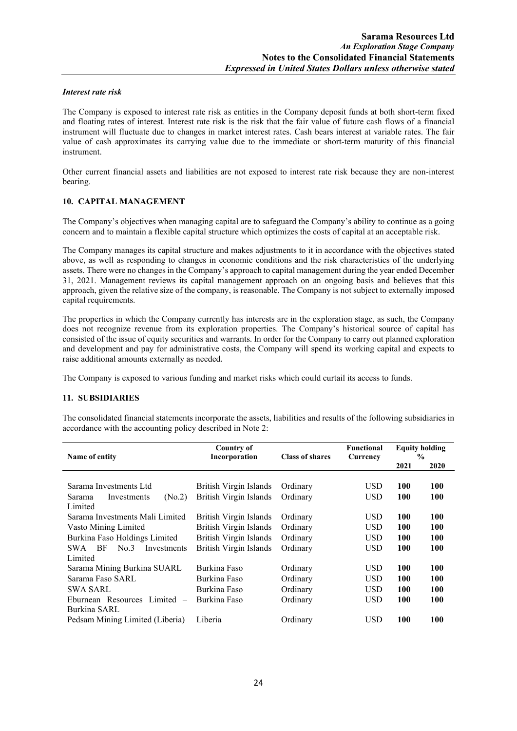#### *Interest rate risk*

The Company is exposed to interest rate risk as entities in the Company deposit funds at both short-term fixed and floating rates of interest. Interest rate risk is the risk that the fair value of future cash flows of a financial instrument will fluctuate due to changes in market interest rates. Cash bears interest at variable rates. The fair value of cash approximates its carrying value due to the immediate or short-term maturity of this financial instrument.

Other current financial assets and liabilities are not exposed to interest rate risk because they are non-interest bearing.

#### **10. CAPITAL MANAGEMENT**

The Company's objectives when managing capital are to safeguard the Company's ability to continue as a going concern and to maintain a flexible capital structure which optimizes the costs of capital at an acceptable risk.

The Company manages its capital structure and makes adjustments to it in accordance with the objectives stated above, as well as responding to changes in economic conditions and the risk characteristics of the underlying assets. There were no changes in the Company's approach to capital management during the year ended December 31, 2021. Management reviews its capital management approach on an ongoing basis and believes that this approach, given the relative size of the company, is reasonable. The Company is not subject to externally imposed capital requirements.

The properties in which the Company currently has interests are in the exploration stage, as such, the Company does not recognize revenue from its exploration properties. The Company's historical source of capital has consisted of the issue of equity securities and warrants. In order for the Company to carry out planned exploration and development and pay for administrative costs, the Company will spend its working capital and expects to raise additional amounts externally as needed.

The Company is exposed to various funding and market risks which could curtail its access to funds.

#### **11. SUBSIDIARIES**

The consolidated financial statements incorporate the assets, liabilities and results of the following subsidiaries in accordance with the accounting policy described in Note 2:

| Name of entity                            | Country of<br>Incorporation<br><b>Class of shares</b> |          | <b>Functional</b><br>Currency | <b>Equity holding</b><br>$\%$ |            |
|-------------------------------------------|-------------------------------------------------------|----------|-------------------------------|-------------------------------|------------|
|                                           |                                                       |          |                               | 2021                          | 2020       |
|                                           |                                                       |          |                               |                               |            |
| Sarama Investments Ltd                    | British Virgin Islands                                | Ordinary | USD                           | 100                           | 100        |
| (No.2)<br><b>Sarama</b><br>Investments    | British Virgin Islands                                | Ordinary | USD                           | 100                           | 100        |
| Limited                                   |                                                       |          |                               |                               |            |
| Sarama Investments Mali Limited           | British Virgin Islands                                | Ordinary | USD                           | 100                           | 100        |
| Vasto Mining Limited                      | British Virgin Islands                                | Ordinary | USD                           | 100                           | 100        |
| Burkina Faso Holdings Limited             | British Virgin Islands                                | Ordinary | USD                           | <b>100</b>                    | <b>100</b> |
| <b>BF</b><br>SWA -<br>No.3<br>Investments | British Virgin Islands                                | Ordinary | USD                           | 100                           | <b>100</b> |
| Limited                                   |                                                       |          |                               |                               |            |
| Sarama Mining Burkina SUARL               | Burkina Faso                                          | Ordinary | USD                           | 100                           | 100        |
| Sarama Faso SARL                          | Burkina Faso                                          | Ordinary | USD                           | 100                           | <b>100</b> |
| <b>SWA SARL</b>                           | Burkina Faso                                          | Ordinary | USD                           | 100                           | <b>100</b> |
| Eburnean Resources Limited –              | Burkina Faso                                          | Ordinary | USD                           | 100                           | 100        |
| Burkina SARL                              |                                                       |          |                               |                               |            |
| Pedsam Mining Limited (Liberia)           | Liberia                                               | Ordinary | USD                           | 100                           | 100        |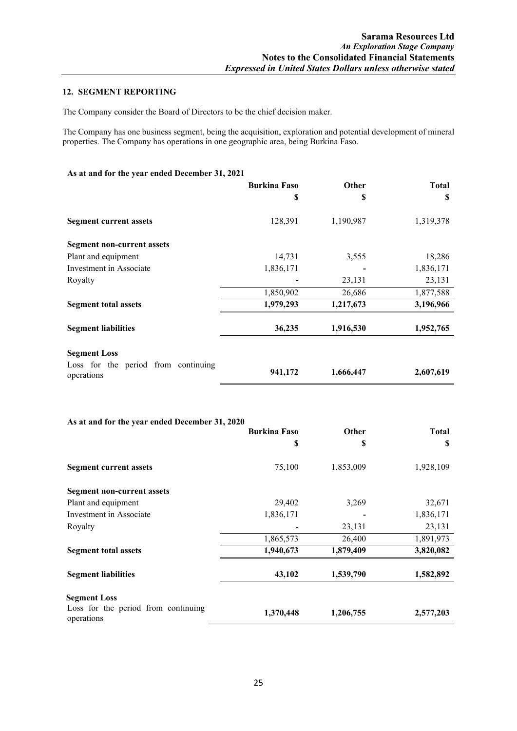## **12. SEGMENT REPORTING**

The Company consider the Board of Directors to be the chief decision maker.

The Company has one business segment, being the acquisition, exploration and potential development of mineral properties. The Company has operations in one geographic area, being Burkina Faso.

| As at and for the year ended December 31, 2021    |                     |           |              |
|---------------------------------------------------|---------------------|-----------|--------------|
|                                                   | <b>Burkina Faso</b> | Other     | <b>Total</b> |
|                                                   | \$                  | \$        | S            |
| <b>Segment current assets</b>                     | 128,391             | 1,190,987 | 1,319,378    |
| <b>Segment non-current assets</b>                 |                     |           |              |
| Plant and equipment                               | 14,731              | 3,555     | 18,286       |
| Investment in Associate                           | 1,836,171           |           | 1,836,171    |
| Royalty                                           |                     | 23,131    | 23,131       |
|                                                   | 1,850,902           | 26,686    | 1,877,588    |
| <b>Segment total assets</b>                       | 1,979,293           | 1,217,673 | 3,196,966    |
| <b>Segment liabilities</b>                        | 36,235              | 1,916,530 | 1,952,765    |
| <b>Segment Loss</b>                               |                     |           |              |
| Loss for the period from continuing<br>operations | 941,172             | 1,666,447 | 2,607,619    |

#### **As at and for the year ended December 31, 2020**

|                                                   | <b>Burkina Faso</b> | Other     | <b>Total</b> |
|---------------------------------------------------|---------------------|-----------|--------------|
|                                                   | \$                  | \$        | S            |
| <b>Segment current assets</b>                     | 75,100              | 1,853,009 | 1,928,109    |
| <b>Segment non-current assets</b>                 |                     |           |              |
| Plant and equipment                               | 29,402              | 3,269     | 32,671       |
| Investment in Associate                           | 1,836,171           |           | 1,836,171    |
| Royalty                                           |                     | 23,131    | 23,131       |
|                                                   | 1,865,573           | 26,400    | 1,891,973    |
| <b>Segment total assets</b>                       | 1,940,673           | 1,879,409 | 3,820,082    |
| <b>Segment liabilities</b>                        | 43,102              | 1,539,790 | 1,582,892    |
| <b>Segment Loss</b>                               |                     |           |              |
| Loss for the period from continuing<br>operations | 1,370,448           | 1,206,755 | 2,577,203    |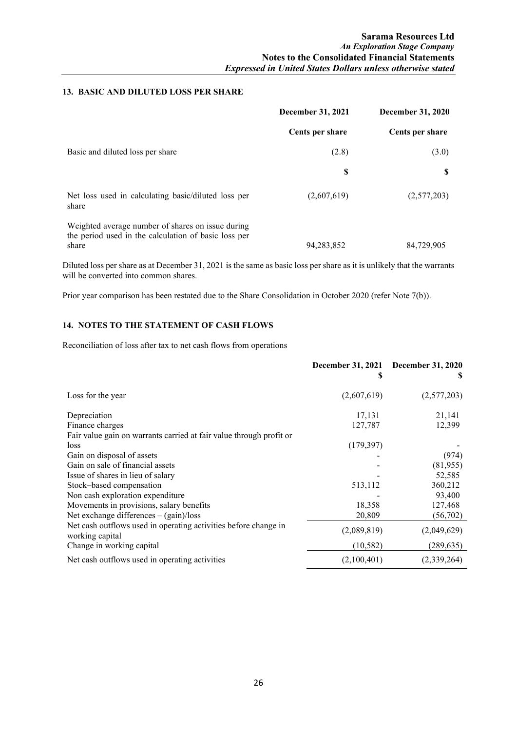## **13. BASIC AND DILUTED LOSS PER SHARE**

|                                                                                                                    | December 31, 2021 | <b>December 31, 2020</b> |
|--------------------------------------------------------------------------------------------------------------------|-------------------|--------------------------|
|                                                                                                                    | Cents per share   | Cents per share          |
| Basic and diluted loss per share                                                                                   | (2.8)             | (3.0)                    |
|                                                                                                                    | \$                | S                        |
| Net loss used in calculating basic/diluted loss per<br>share                                                       | (2,607,619)       | (2,577,203)              |
| Weighted average number of shares on issue during<br>the period used in the calculation of basic loss per<br>share | 94, 283, 852      | 84,729,905               |

Diluted loss per share as at December 31, 2021 is the same as basic loss per share as it is unlikely that the warrants will be converted into common shares.

Prior year comparison has been restated due to the Share Consolidation in October 2020 (refer Note 7(b)).

## **14. NOTES TO THE STATEMENT OF CASH FLOWS**

Reconciliation of loss after tax to net cash flows from operations

|                                                                                    | December 31, 2021 December 31, 2020 |             |
|------------------------------------------------------------------------------------|-------------------------------------|-------------|
| Loss for the year                                                                  | (2,607,619)                         | (2,577,203) |
| Depreciation                                                                       | 17,131                              | 21,141      |
| Finance charges                                                                    | 127,787                             | 12,399      |
| Fair value gain on warrants carried at fair value through profit or                |                                     |             |
| loss                                                                               | (179, 397)                          |             |
| Gain on disposal of assets                                                         |                                     | (974)       |
| Gain on sale of financial assets                                                   |                                     | (81,955)    |
| Issue of shares in lieu of salary                                                  |                                     | 52,585      |
| Stock-based compensation                                                           | 513,112                             | 360,212     |
| Non cash exploration expenditure                                                   |                                     | 93,400      |
| Movements in provisions, salary benefits                                           | 18,358                              | 127,468     |
| Net exchange differences $-$ (gain)/loss                                           | 20,809                              | (56,702)    |
| Net cash outflows used in operating activities before change in<br>working capital | (2,089,819)                         | (2,049,629) |
| Change in working capital                                                          | (10, 582)                           | (289, 635)  |
| Net cash outflows used in operating activities                                     | (2,100,401)                         | (2,339,264) |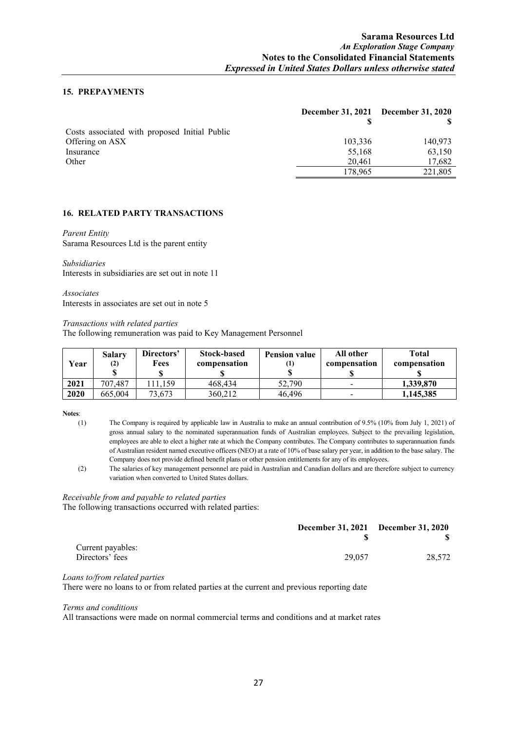## **15. PREPAYMENTS**

|                                               | December 31, 2021 December 31, 2020 |         |
|-----------------------------------------------|-------------------------------------|---------|
|                                               |                                     |         |
| Costs associated with proposed Initial Public |                                     |         |
| Offering on ASX                               | 103,336                             | 140.973 |
| Insurance                                     | 55,168                              | 63,150  |
| Other                                         | 20.461                              | 17,682  |
|                                               | 178.965                             | 221,805 |
|                                               |                                     |         |

#### **16. RELATED PARTY TRANSACTIONS**

#### *Parent Entity* Sarama Resources Ltd is the parent entity

*Subsidiaries* Interests in subsidiaries are set out in note 11

*Associates* Interests in associates are set out in note 5

#### *Transactions with related parties*

The following remuneration was paid to Key Management Personnel

| Year | Salary<br>(2) | Directors'<br>Fees | <b>Stock-based</b><br>compensation | <b>Pension value</b> | All other<br>compensation | Total<br>compensation |
|------|---------------|--------------------|------------------------------------|----------------------|---------------------------|-----------------------|
| 2021 | 707.487       | 11.159             | 468.434                            | 52,790               |                           | 1.339.870             |
| 2020 | 665,004       | 73.673             | 360,212                            | 46,496               | $\overline{\phantom{0}}$  | 1.145.385             |

**Notes**:

- (1) The Company is required by applicable law in Australia to make an annual contribution of 9.5% (10% from July 1, 2021) of gross annual salary to the nominated superannuation funds of Australian employees. Subject to the prevailing legislation, employees are able to elect a higher rate at which the Company contributes. The Company contributes to superannuation funds of Australian resident named executive officers (NEO) at a rate of 10% of base salary per year, in addition to the base salary. The Company does not provide defined benefit plans or other pension entitlements for any of its employees.
- (2) The salaries of key management personnel are paid in Australian and Canadian dollars and are therefore subject to currency variation when converted to United States dollars.

#### *Receivable from and payable to related parties*

The following transactions occurred with related parties:

|                   |        | December 31, 2021 December 31, 2020 |
|-------------------|--------|-------------------------------------|
|                   |        |                                     |
| Current payables: |        |                                     |
| Directors' fees   | 29,057 | 28,572                              |

## *Loans to/from related parties*

There were no loans to or from related parties at the current and previous reporting date

#### *Terms and conditions*

All transactions were made on normal commercial terms and conditions and at market rates